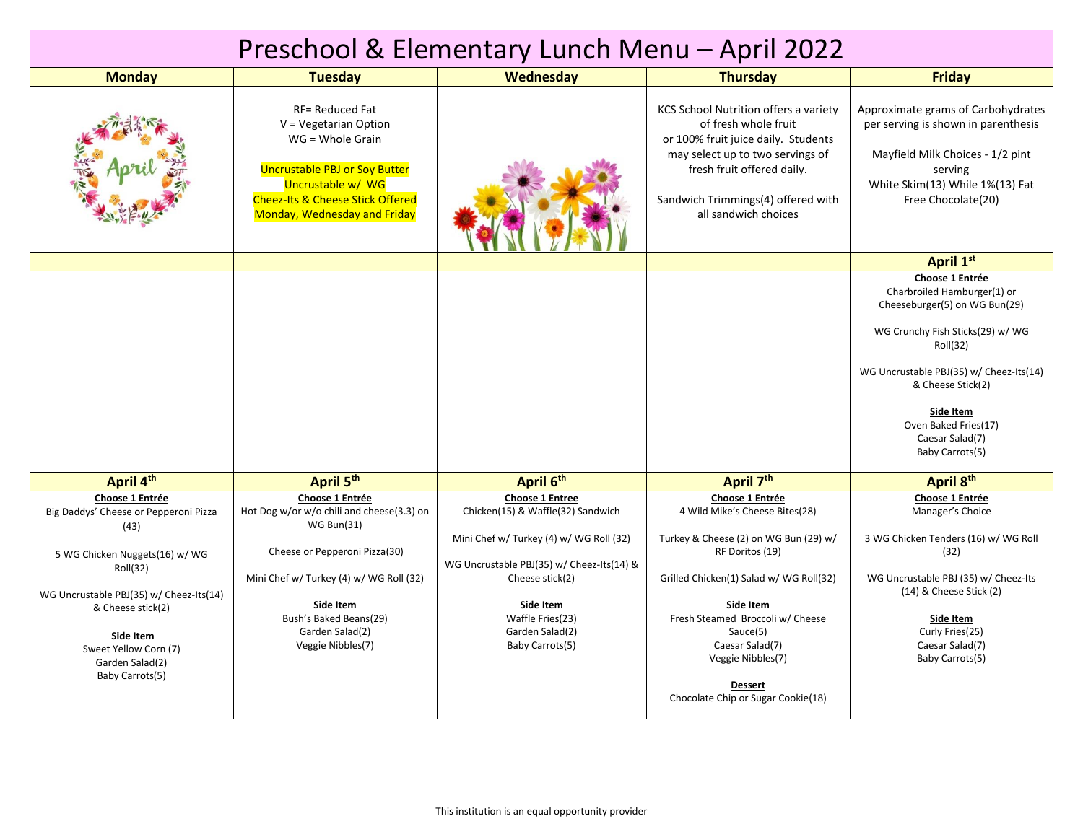| Preschool & Elementary Lunch Menu - April 2022                                                                                                                                                                                                             |                                                                                                                                                                                                                                              |                                                                                                                                                                                                                                               |                                                                                                                                                                                                                                                                                                                       |                                                                                                                                                                                                                                                                            |  |  |
|------------------------------------------------------------------------------------------------------------------------------------------------------------------------------------------------------------------------------------------------------------|----------------------------------------------------------------------------------------------------------------------------------------------------------------------------------------------------------------------------------------------|-----------------------------------------------------------------------------------------------------------------------------------------------------------------------------------------------------------------------------------------------|-----------------------------------------------------------------------------------------------------------------------------------------------------------------------------------------------------------------------------------------------------------------------------------------------------------------------|----------------------------------------------------------------------------------------------------------------------------------------------------------------------------------------------------------------------------------------------------------------------------|--|--|
| <b>Monday</b>                                                                                                                                                                                                                                              | <b>Tuesday</b>                                                                                                                                                                                                                               | Wednesday                                                                                                                                                                                                                                     | <b>Thursday</b>                                                                                                                                                                                                                                                                                                       | <b>Friday</b>                                                                                                                                                                                                                                                              |  |  |
|                                                                                                                                                                                                                                                            | <b>RF= Reduced Fat</b><br>V = Vegetarian Option<br>WG = Whole Grain<br><b>Uncrustable PBJ or Soy Butter</b><br>Uncrustable w/ WG<br><b>Cheez-Its &amp; Cheese Stick Offered</b><br><b>Monday, Wednesday and Friday</b>                       |                                                                                                                                                                                                                                               | <b>KCS School Nutrition offers a variety</b><br>of fresh whole fruit<br>or 100% fruit juice daily. Students<br>may select up to two servings of<br>fresh fruit offered daily.<br>Sandwich Trimmings(4) offered with<br>all sandwich choices                                                                           | Approximate grams of Carbohydrates<br>per serving is shown in parenthesis<br>Mayfield Milk Choices - 1/2 pint<br>serving<br>White Skim(13) While 1%(13) Fat<br>Free Chocolate(20)                                                                                          |  |  |
|                                                                                                                                                                                                                                                            |                                                                                                                                                                                                                                              |                                                                                                                                                                                                                                               |                                                                                                                                                                                                                                                                                                                       | April 1st                                                                                                                                                                                                                                                                  |  |  |
|                                                                                                                                                                                                                                                            |                                                                                                                                                                                                                                              |                                                                                                                                                                                                                                               |                                                                                                                                                                                                                                                                                                                       | Choose 1 Entrée<br>Charbroiled Hamburger(1) or<br>Cheeseburger(5) on WG Bun(29)<br>WG Crunchy Fish Sticks(29) w/ WG<br>Roll(32)<br>WG Uncrustable PBJ(35) w/ Cheez-Its(14)<br>& Cheese Stick(2)<br>Side Item<br>Oven Baked Fries(17)<br>Caesar Salad(7)<br>Baby Carrots(5) |  |  |
| April 4th                                                                                                                                                                                                                                                  | April 5th                                                                                                                                                                                                                                    | April 6th                                                                                                                                                                                                                                     | April 7 <sup>th</sup>                                                                                                                                                                                                                                                                                                 | April 8th                                                                                                                                                                                                                                                                  |  |  |
| Choose 1 Entrée<br>Big Daddys' Cheese or Pepperoni Pizza<br>(43)<br>5 WG Chicken Nuggets(16) w/ WG<br>Roll(32)<br>WG Uncrustable PBJ(35) w/ Cheez-Its(14)<br>& Cheese stick(2)<br>Side Item<br>Sweet Yellow Corn (7)<br>Garden Salad(2)<br>Baby Carrots(5) | Choose 1 Entrée<br>Hot Dog w/or w/o chili and cheese(3.3) on<br><b>WG Bun(31)</b><br>Cheese or Pepperoni Pizza(30)<br>Mini Chef w/ Turkey (4) w/ WG Roll (32)<br>Side Item<br>Bush's Baked Beans(29)<br>Garden Salad(2)<br>Veggie Nibbles(7) | <b>Choose 1 Entree</b><br>Chicken(15) & Waffle(32) Sandwich<br>Mini Chef w/ Turkey (4) w/ WG Roll (32)<br>WG Uncrustable PBJ(35) w/ Cheez-Its(14) &<br>Cheese stick(2)<br>Side Item<br>Waffle Fries(23)<br>Garden Salad(2)<br>Baby Carrots(5) | Choose 1 Entrée<br>4 Wild Mike's Cheese Bites(28)<br>Turkey & Cheese (2) on WG Bun (29) w/<br>RF Doritos (19)<br>Grilled Chicken(1) Salad w/ WG Roll(32)<br>Side Item<br>Fresh Steamed Broccoli w/ Cheese<br>Sauce(5)<br>Caesar Salad(7)<br>Veggie Nibbles(7)<br><b>Dessert</b><br>Chocolate Chip or Sugar Cookie(18) | Choose 1 Entrée<br>Manager's Choice<br>3 WG Chicken Tenders (16) w/ WG Roll<br>(32)<br>WG Uncrustable PBJ (35) w/ Cheez-Its<br>(14) & Cheese Stick (2)<br>Side Item<br>Curly Fries(25)<br>Caesar Salad(7)<br>Baby Carrots(5)                                               |  |  |